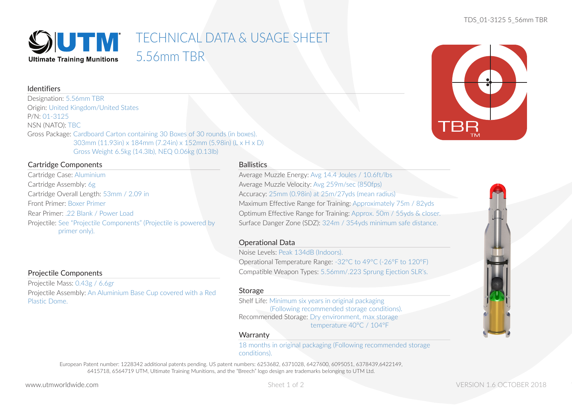## SUTM TECHNICAL DATA & USAGE SHEET 5.56mm TBR **Ultimate Training Munitions**

# Identifiers

Designation: 5.56mm TBR Origin: United Kingdom/United States P/N: 01-3125 NSN (NATO): TBC Gross Package: Cardboard Carton containing 30 Boxes of 30 rounds (in boxes). 303mm (11.93in) x 184mm (7.24in) x 152mm (5.98in) (L x H x D) Gross Weight 6.5kg (14.3lb), NEQ 0.06kg (0.13lb)

# Cartridge Components

Cartridge Case: Aluminium Cartridge Assembly: 6g Cartridge Overall Length: 53mm / 2.09 in Front Primer: Boxer Primer Rear Primer: .22 Blank / Power Load Projectile: See "Projectile Components" (Projectile is powered by primer only).

## **Ballistics**

Average Muzzle Energy: Avg 14.4 Joules / 10.6ft/lbs Average Muzzle Velocity: Avg 259m/sec (850fps) Accuracy: 25mm (0.98in) at 25m/27yds (mean radius) Maximum Effective Range for Training: Approximately 75m / 82yds Optimum Effective Range for Training: Approx. 50m / 55yds & closer. Surface Danger Zone (SDZ): 324m / 354yds minimum safe distance.

# Operational Data

Noise Levels: Peak 134dB (Indoors). Operational Temperature Range: -32°C to 49°C (-26°F to 120°F) Compatible Weapon Types: 5.56mm/.223 Sprung Ejection SLR's.

# Projectile Components

Projectile Mass: 0.43g / 6.6gr Projectile Assembly: An Aluminium Base Cup covered with a Red Plastic Dome.

## Storage

Shelf Life: Minimum six years in original packaging (Following recommended storage conditions). Recommended Storage: Dry environment, max storage temperature 40°C / 104°F

## **Warranty**

18 months in original packaging (Following recommended storage conditions).

European Patent number: 1228342 additional patents pending. US patent numbers: 6253682, 6371028, 6427600, 6095051, 6378439,6422149, 6415718, 6564719 UTM, Ultimate Training Munitions, and the "Breech" logo design are trademarks belonging to UTM Ltd.